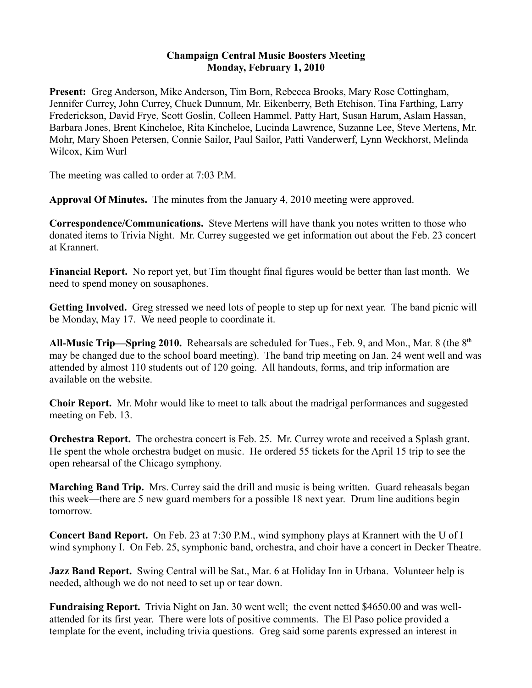## **Champaign Central Music Boosters Meeting Monday, February 1, 2010**

**Present:** Greg Anderson, Mike Anderson, Tim Born, Rebecca Brooks, Mary Rose Cottingham, Jennifer Currey, John Currey, Chuck Dunnum, Mr. Eikenberry, Beth Etchison, Tina Farthing, Larry Frederickson, David Frye, Scott Goslin, Colleen Hammel, Patty Hart, Susan Harum, Aslam Hassan, Barbara Jones, Brent Kincheloe, Rita Kincheloe, Lucinda Lawrence, Suzanne Lee, Steve Mertens, Mr. Mohr, Mary Shoen Petersen, Connie Sailor, Paul Sailor, Patti Vanderwerf, Lynn Weckhorst, Melinda Wilcox, Kim Wurl

The meeting was called to order at 7:03 P.M.

**Approval Of Minutes.** The minutes from the January 4, 2010 meeting were approved.

**Correspondence/Communications.** Steve Mertens will have thank you notes written to those who donated items to Trivia Night. Mr. Currey suggested we get information out about the Feb. 23 concert at Krannert.

**Financial Report.** No report yet, but Tim thought final figures would be better than last month. We need to spend money on sousaphones.

**Getting Involved.** Greg stressed we need lots of people to step up for next year. The band picnic will be Monday, May 17. We need people to coordinate it.

All-Music Trip—Spring 2010. Rehearsals are scheduled for Tues., Feb. 9, and Mon., Mar. 8 (the 8<sup>th</sup>) may be changed due to the school board meeting). The band trip meeting on Jan. 24 went well and was attended by almost 110 students out of 120 going. All handouts, forms, and trip information are available on the website.

**Choir Report.** Mr. Mohr would like to meet to talk about the madrigal performances and suggested meeting on Feb. 13.

**Orchestra Report.** The orchestra concert is Feb. 25. Mr. Currey wrote and received a Splash grant. He spent the whole orchestra budget on music. He ordered 55 tickets for the April 15 trip to see the open rehearsal of the Chicago symphony.

**Marching Band Trip.** Mrs. Currey said the drill and music is being written. Guard reheasals began this week—there are 5 new guard members for a possible 18 next year. Drum line auditions begin tomorrow.

**Concert Band Report.** On Feb. 23 at 7:30 P.M., wind symphony plays at Krannert with the U of I wind symphony I. On Feb. 25, symphonic band, orchestra, and choir have a concert in Decker Theatre.

**Jazz Band Report.** Swing Central will be Sat., Mar. 6 at Holiday Inn in Urbana. Volunteer help is needed, although we do not need to set up or tear down.

**Fundraising Report.** Trivia Night on Jan. 30 went well; the event netted \$4650.00 and was wellattended for its first year. There were lots of positive comments. The El Paso police provided a template for the event, including trivia questions. Greg said some parents expressed an interest in